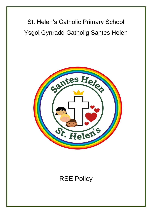St. Helen's Catholic Primary School Ysgol Gynradd Gatholig Santes Helen



# RSE Policy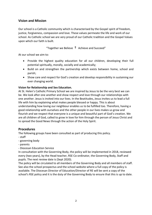## **Vision and Mission**

Our school is a Catholic community which is characterised by the Gospel spirit of freedom, justice, forgiveness, compassion and love. These values permeate the life and work of our school. As Catholic school we are very proud of our Catholic tradition and the Gospel Values upon which our faith is built.

"Together we Believe  $\dagger$  Achieve and Succeed"

At our school we aim to:

- Provide the highest quality education for all our children, developing their full potential spiritually, morally, socially and academically;
- Build on and strengthen the partnership which exists between home, school and parish;
- Show care and respect for God's creation and develop responsibility in sustaining our ever changing world.

#### **Vision for Relationship and Sex Education.**

At St. Helen's Catholic Primary School we are inspired by Jesus to be the very best we can be. We look after one another and show respect and love through our relationships with one another. Jesus is invited into our lives. In the Beatitudes, Jesus invites us to lead a full life with him by explaining what makes people blessed or happy. This is about understanding how loving our neighbour enables us to be fulfilled too. Therefore, having a good relationship with ourselves and the other people in our lives makes us grow and flourish and we respect that everyone is a unique and beautiful part of God's creation. We are all children of God, called to grow in love for him through the person of Jesus Christ and to spread the Good News through the action of the Holy Spirit.

#### **Procedures**

The following groups have been consulted as part of producing this policy.

- staff
- governing body
- parents
- Diocesan Education Service

In consultation with the Governing Body, the policy will be implemented in 2018, reviewed every (two years), by the Head teacher, RSE Co-ordinator, the Governing Body, Staff and pupils. The next review date is (Sept 2020).

The policy will be circulated to all members of the Governing Body and all members of staff. See also the school prospectus and the school website where a full copy of the policy is available. The Diocesan Director of Education/Director of RE will be sent a copy of the school's RSE policy and it is the duty of the Governing Body to ensure that this is up to date.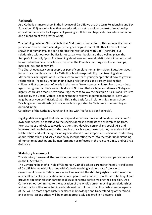#### **Rationale**

As a Catholic primary school in the Province of Cardiff, we use the term Relationship and Sex Education (RSE) as we believe that sex education is set in a wider context of relationship education that is about all aspects of growing a fulfilled and happy life. Sex education is but one dimension of this greater whole.

The defining belief of Christianity is that God took on human form. This endows the human person with an extraordinary dignity that goes beyond that of all other forms of life and shows that humanity alone can embrace this relationship with God. Therefore, our relationship with our own bodies is not casual – our bodies are the dwelling place, the 'temple' of the Holy Spirit. Any teaching about love and sexual relationships in school must be rooted in this belief which is expressed in the Church's teaching about relationships, marriage, sex and family life.

The Church educates young people as part of complete human formation. Education about human love is no less a part of a Catholic school's responsibility than teaching about Mathematics or English. At St. Helen's school we teach young people about how to grow in relationships, including understanding loving relationships and acknowledging that children's first experience of love is in the home. We encourage children from the earliest age to recognise that they are all children of God and that each person shares a God-given dignity. As children mature, we encourage them to follow the example of Jesus and live lives inspired by the Gospel virtues, enabling them to follow His commandment to "Love your neighbour as yourself" (Mark 12:31). This is the basis for all relationships in our school. Teaching about relationships in our schools is supported by Christian virtue teaching as outlined in the

Catechism of the Catholic Church and in line with 'Fit for Mission? Schools'.

Legal guidelines suggest that relationship and sex education should build on the children's own experiences, be sensitive to the specific domestic contexts the children come from, form attitudes and values towards relationships, develop personal and social skills and increase the knowledge and understanding of each young person as they grow about their relationships and well-being, including sexual health. We support all these aims in educating about relationships and sex education by incorporating them into the wider understanding of human relationships and human formation as reflected in the relevant CBEW and CES RSE Guidance.

#### **Statutory framework**

The statutory framework that surrounds education about human relationships can be found on the CES website.

The Governing body of all Vale of Glamorgan Catholic schools are using the RSE Archdiocese of Cardiff Scheme which is in line with Catholic teaching and guidance from Welsh Government documentation. As a school we respect the statutory rights of withdraw from any or all parts of sex education and inform parents of what and how this is to be taught and provides opportunities for parents to discuss concerns before making their decision. As a Catholic school committed to the education of the whole person, teaching on relationships and sexuality will be reflected in each relevant part of the curriculum. Whilst some aspects of RSE will be more appropriately explored in Knowledge and Understanding of the World and Science lessons others will be more appropriately explored in RE lessons. Each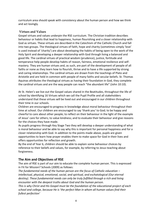curriculum area should speak with consistency about the human person and how we think and act lovingly.

#### **Virtues and Values**

Gospel virtues and values underpin the RSE curriculum. The Christian tradition describes behaviour or habits that lead to happiness, human flourishing and a closer relationship with God as virtues. These virtues are described in the Catechism of the Catholic Church and fall into two groups. The theological virtues of faith, hope and charity (sometimes simply 'love' is used instead of 'charity') are about developing the habits of being open to the work of the Holy Spirit and developing a deeper relationship with God through living a balanced and good life. The cardinal virtues of practical wisdom (prudence), justice, fortitude and temperance help people develop habits of reason, fairness, emotional resilience and selfmastery. They are human virtues and, as such, are part of the development of people of all faiths or none as they learn how to flourish, thrive and to have a life supported by strong and caring relationships. The cardinal virtues are drawn from the teachings of Plato and Aristotle and are held in common with people of many faiths and secular beliefs. St. Thomas Aquinas attributes the theological virtues as having their foundation in God, they complete the cardinal virtues and are the way people can reach "the abundant life" (John 10:10).

At St. Helen's we live out the Gospel values shared in the Beatitudes, throughout the life of school by identifying 16 Virtues which we call the Pupil Profile and all stakeholders understand that these virtues will be lived out and encouraged in our children throughout their time in our schools.

Children are encouraged to progress in knowledge about moral behaviour throughout their time at school. Our children are encouraged to say 'thank you' to God; to be happy and cheerful to care about other people; to reflect on their behaviour in the light of the example of Jesus' care for others; to value kindness; and to evaluate their behaviour and give reasons for the choices they have made.

As pupils progress through Key Stage Two they will develop a deeper understanding of what is moral behaviour and be able to say why this is important for personal happiness and for a closer relationship with God. In addition to the points made above, pupils are given opportunities to learn how prayer enables them to make space for God in their lives and offers opportunities for reflection and growth.

By the end of Year 6, children should be able to explain some behaviour choices by reference to their beliefs and values, for example, by referring to Jesus teaching about forgiveness.

## **The Aim and Objectives of RSE**

The aim of RSE is part of our aim to educate the complete human person. This is expressed in Fit for Mission? Schools (2009) as follows:

*The fundamental needs of the human person are the focus of Catholic education – intellectual, physical, emotional, social, and spiritual, and eschatological (Our eternal destiny). These fundamental needs can only be truly fulfilled through a rich and living encounter with the deepest truths about God and the human person.*

*This is why Christ and His Gospel must be the foundation of the educational project of each school and college, because He is 'the perfect Man in whom all human values find their fullest perfection'*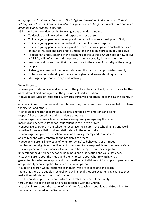*(Congregation for Catholic Education, The Religious Dimension of Education in a Catholic School). Therefore, the Catholic school or college is called to keep the Gospel whole and alive amongst pupils, families, and staff.*

RSE should therefore deepen the following areas of understanding:

- To develop self-knowledge, and respect and love of self;
- To invite young people to develop and deepen a loving relationship with God;
- To invite young people to understand that their life has a purpose;
- To invite young people to develop and deepen relationships with each other based on mutual respect and care and to understand this is an expression of God's love;
- To foster an understanding of the teachings of the Catholic Church about how to live a full life, a life of virtue, and the place of human sexuality in living a full life,
- marriage and parenthood that is appropriate to the stage of maturity of the young
- people;
- A strong awareness of their own safety and the nature of appropriate consent;
- To have an understanding of the law in England and Wales about Equality and
- Marriage, appropriate to age and maturity.

We will seek to:

• develop attitudes of awe and wonder for the gift and beauty of self, respect for each other as children of God and rejoice in the goodness of God's creation.

• develop attitudes of responsibility towards ourselves and others, recognising the dignity in all.

enable children to understand the choices they make and how they can help or harm themselves and others.

• encourage children to learn about expressing their own emotions and being respectful of the emotions and behaviours of others.

• encourage the whole school to be like a loving family recognising God as a merciful and generous father as Jesus taught in the Lord's prayer.

• encourage everyone in the school to recognise their part in the school family and work together for reconciliation when relationships in the school falter.

• encourage everyone in the school to value humility, mercy and compassion and to respond with empathy to the problems of others.

• develop children's knowledge of when to say 'no' to behaviours or attitudes

that harm their dignity or the dignity of others and to be responsible for their own safety.

• develop children's experience of what it is to be happy so that they begin to

understand the difference between happiness and gratification and value patience.

• teach children about the media and their choices, about what to watch, what

games to play, what rules apply and that the dignity of all does not just apply to people who are physically seen, it applies to online relationships too.

• support children when relationships in their lives are challenging and teach them that there are people in school who will listen if they are experiencing changes that make them frightened or uncomfortable.

• foster an atmosphere in school which celebrates the work of the Trinity

through the life of the school and its relationship with the Church.

• teach children about the beauty of the Church's teaching about love and God's love for them which is shared in the Sacraments.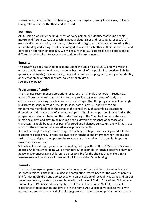• sensitively share the Church's teaching about marriage and family life as a way to live in loving relationships with others and with God.

#### **Inclusion**

At St. Helen's we value the uniqueness of every person, we identify that young people mature in different ways. Our teaching about relationships and sexuality is respectful of each child's starting point, their faith, culture and background. Lessons are framed by this understanding and young people encouraged to respect each other in their differences, and develop an approach of dialogue. We will ensure that RSE is accessible to all pupils and is differentiated to take into account any additional learning needs.

## **Equality**

The governing body has wide obligations under the Equalities Act 2010 and will work to ensure that St. Helen's endeavour to do its best for all of the pupils, irrespective of ability (physical and mental), race, ethnicity, nationality, maternity, pregnancy, sex, gender identity or orientation or whether they are looked after children. See Equality policy

## **Programme of study**

The Province recommends appropriate resources to its family of schools in Section 2.1 above. These range from ages 3-19 years and provide suggested areas of study and outcomes for the young people it serves. It is envisaged that this programme will be taught in discreet lessons, in cross curricular lessons, particularly R.E. and science and fundamentally embedded in the ethos of the school through assemblies, classroom discussions and the centring of all relationships in school on the person of Jesus Christ. The programme of study is based on the understanding of the Church of human nature and human sexuality, and aims to help young people develop their sense of purpose and character. It should be taught as part of a broad and balanced curriculum and will thus have room for the expression of alternative viewpoints by pupils.

RSE will be taught through a wide range of teaching strategies, with clear ground rules for discussions established. Parents are involved throughout and informed when lessons are taking place and given the opportunity to view material used with the pupils. Supporting resources are also used.

Schools will monitor progress in understanding, linking with the R.E., PSW,CD and Science policies. Children's well-being will be monitored, for example, through a positive behaviour policy and/or encouraging children to be responsible for the choices they make. SELFIE assessments will provide a window into individual children's well-being.

## **Parents**

The Church recognises parents as the first educators of their children. Our schools assist parents in this task also in RSE, aiding and completing (where needed) the work of parents and furnishing children and adolescents with an evaluation of "sexuality as value and task of the whole person, created male and female in the image of God". (Educational Guidance in Human Love (1983) Sacred Congregation for Catholic Education n69). Children's first experience of relationships and love are in the home. At our school we seek to work with parents and support them as their children grow and begin to develop their own character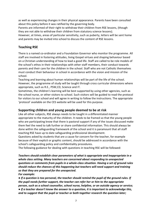as well as experiencing changes in their physical appearance. Parents have been consulted about this policy before it was ratified by the governing body.

Parents are informed of their right to withdraw their children from RSE lessons, (though they are not able to withdraw their children from statutory science lessons).

However, at times, areas of particular sensitivity, such as puberty, letters will be sent home and parents may be invited into school to discuss the content of RSE lessons.

## **Teaching RSE**

There is a named co-ordinator and a Foundation Governor who monitor the programme. All staff are involved in fostering attitudes, living Gospel virtues and shaping behaviour based on a Christian understanding of how to lead a good life. Staff are called to be role models of the school's ethos in their relationships with other staff members, their conduct towards parents and their care for the children in the school. Staff who are not Catholic themselves must conduct their behaviour in school in accordance with the vision and mission of the school.

Teaching and learning about human relationships will be part of the life of the school. However, the programme of study will be taught through cross curricular dimensions where appropriate, such as R.E., PSW,CD, Science and IT.

Sometimes, the children's learning will be best supported by using other agencies, such as the school nurse, or other visitors to school. Such visitors will be guided to read the protocol for visitors to our school and will agree in writing to follow the instructions. The appropriate 'protocol' available on the CES website will be used for this purpose.

## **Supporting children and young people deemed to be at risk**

Like all other subjects, RSE always needs to be taught in a differentiated manner appropriate to the maturity of the children. It needs to be framed so that the young people who are participating know that there is pastoral support if any of the issues discussed make them feel the need to talk further or share confidential information. This should always be done within the safeguarding framework of the school and it is paramount that all staff teaching RSE have up to date safeguarding professional development.

Questions asked by students that are a cause for concern for the teacher, for example because of their explicit or graphic content, should be addressed in accordance with the school's safeguarding policy and confidentiality procedures.

The following guidance for dealing with questions in teaching RSE will be followed:

*Teachers should establish clear parameters of what is appropriate and inappropriate in a whole class setting. Many teachers are concerned about responding to unexpected questions or comments from pupils in a whole-class situation. Having a set of ground rules should reduce the chances of this happening but teachers will need support and training so that they are prepared for the unexpected.* 

*For example:*

**●** *If a question is too personal, the teacher should remind the pupil of the ground rules. If the pupil needs further support, the teacher can refer her or him to the appropriate person, such as a school counsellor, school nurse, helpline, or an outside agency or service;* **●** *If a teacher doesn't know the answer to a question, it is important to acknowledge this,* 

*and to suggest that the pupil or teacher or both together research the question later;*